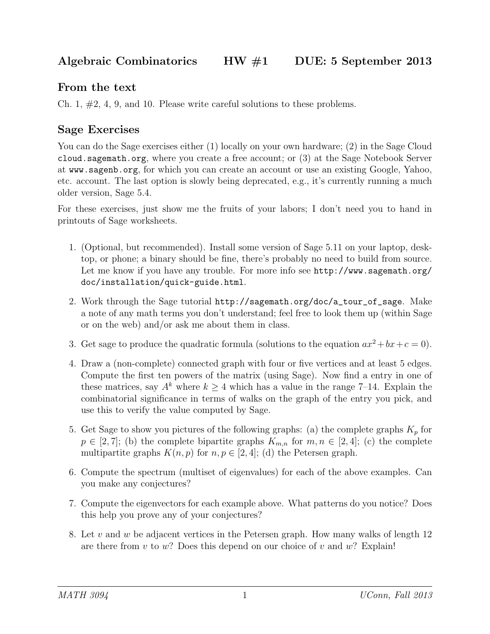## From the text

Ch. 1, #2, 4, 9, and 10. Please write careful solutions to these problems.

## Sage Exercises

You can do the Sage exercises either (1) locally on your own hardware; (2) in the Sage Cloud cloud.sagemath.org, where you create a free account; or (3) at the Sage Notebook Server at www.sagenb.org, for which you can create an account or use an existing Google, Yahoo, etc. account. The last option is slowly being deprecated, e.g., it's currently running a much older version, Sage 5.4.

For these exercises, just show me the fruits of your labors; I don't need you to hand in printouts of Sage worksheets.

- 1. (Optional, but recommended). Install some version of Sage 5.11 on your laptop, desktop, or phone; a binary should be fine, there's probably no need to build from source. Let me know if you have any trouble. For more info see http://www.sagemath.org/ doc/installation/quick-guide.html.
- 2. Work through the Sage tutorial http://sagemath.org/doc/a\_tour\_of\_sage. Make a note of any math terms you don't understand; feel free to look them up (within Sage or on the web) and/or ask me about them in class.
- 3. Get sage to produce the quadratic formula (solutions to the equation  $ax^2 + bx + c = 0$ ).
- 4. Draw a (non-complete) connected graph with four or five vertices and at least 5 edges. Compute the first ten powers of the matrix (using Sage). Now find a entry in one of these matrices, say  $A^k$  where  $k \geq 4$  which has a value in the range 7–14. Explain the combinatorial significance in terms of walks on the graph of the entry you pick, and use this to verify the value computed by Sage.
- 5. Get Sage to show you pictures of the following graphs: (a) the complete graphs  $K_p$  for  $p \in [2, 7]$ ; (b) the complete bipartite graphs  $K_{m,n}$  for  $m, n \in [2, 4]$ ; (c) the complete multipartite graphs  $K(n, p)$  for  $n, p \in [2, 4]$ ; (d) the Petersen graph.
- 6. Compute the spectrum (multiset of eigenvalues) for each of the above examples. Can you make any conjectures?
- 7. Compute the eigenvectors for each example above. What patterns do you notice? Does this help you prove any of your conjectures?
- 8. Let v and w be adjacent vertices in the Petersen graph. How many walks of length  $12$ are there from v to w? Does this depend on our choice of v and w? Explain!